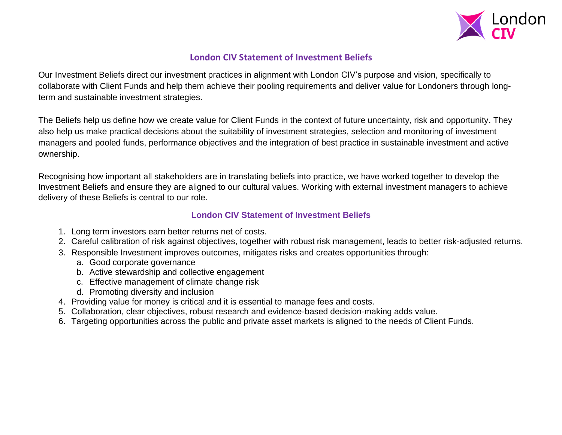

## **London CIV Statement of Investment Beliefs**

Our Investment Beliefs direct our investment practices in alignment with London CIV's purpose and vision, specifically to collaborate with Client Funds and help them achieve their pooling requirements and deliver value for Londoners through longterm and sustainable investment strategies.

The Beliefs help us define how we create value for Client Funds in the context of future uncertainty, risk and opportunity. They also help us make practical decisions about the suitability of investment strategies, selection and monitoring of investment managers and pooled funds, performance objectives and the integration of best practice in sustainable investment and active ownership.

Recognising how important all stakeholders are in translating beliefs into practice, we have worked together to develop the Investment Beliefs and ensure they are aligned to our cultural values. Working with external investment managers to achieve delivery of these Beliefs is central to our role.

## **London CIV Statement of Investment Beliefs**

- 1. Long term investors earn better returns net of costs.
- 2. Careful calibration of risk against objectives, together with robust risk management, leads to better risk-adjusted returns.
- 3. Responsible Investment improves outcomes, mitigates risks and creates opportunities through:
	- a. Good corporate governance
	- b. Active stewardship and collective engagement
	- c. Effective management of climate change risk
	- d. Promoting diversity and inclusion
- 4. Providing value for money is critical and it is essential to manage fees and costs.
- 5. Collaboration, clear objectives, robust research and evidence-based decision-making adds value.
- 6. Targeting opportunities across the public and private asset markets is aligned to the needs of Client Funds.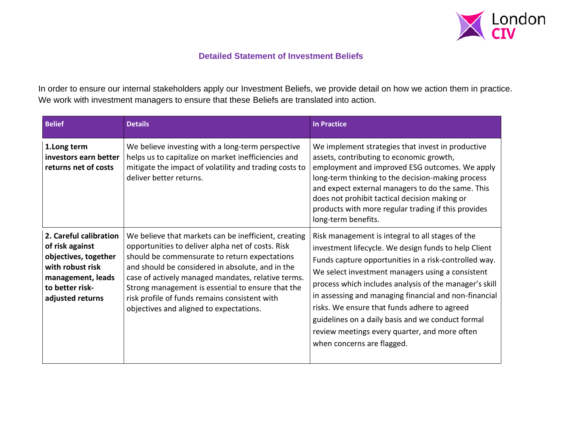

## **Detailed Statement of Investment Beliefs**

In order to ensure our internal stakeholders apply our Investment Beliefs, we provide detail on how we action them in practice. We work with investment managers to ensure that these Beliefs are translated into action.

| <b>Belief</b>                                                                                                                                     | <b>Details</b>                                                                                                                                                                                                                                                                                                                                                                                                        | <b>In Practice</b>                                                                                                                                                                                                                                                                                                                                                                                                                                                                                                           |
|---------------------------------------------------------------------------------------------------------------------------------------------------|-----------------------------------------------------------------------------------------------------------------------------------------------------------------------------------------------------------------------------------------------------------------------------------------------------------------------------------------------------------------------------------------------------------------------|------------------------------------------------------------------------------------------------------------------------------------------------------------------------------------------------------------------------------------------------------------------------------------------------------------------------------------------------------------------------------------------------------------------------------------------------------------------------------------------------------------------------------|
| 1.Long term<br>investors earn better<br>returns net of costs                                                                                      | We believe investing with a long-term perspective<br>helps us to capitalize on market inefficiencies and<br>mitigate the impact of volatility and trading costs to<br>deliver better returns.                                                                                                                                                                                                                         | We implement strategies that invest in productive<br>assets, contributing to economic growth,<br>employment and improved ESG outcomes. We apply<br>long-term thinking to the decision-making process<br>and expect external managers to do the same. This<br>does not prohibit tactical decision making or<br>products with more regular trading if this provides<br>long-term benefits.                                                                                                                                     |
| 2. Careful calibration<br>of risk against<br>objectives, together<br>with robust risk<br>management, leads<br>to better risk-<br>adjusted returns | We believe that markets can be inefficient, creating<br>opportunities to deliver alpha net of costs. Risk<br>should be commensurate to return expectations<br>and should be considered in absolute, and in the<br>case of actively managed mandates, relative terms.<br>Strong management is essential to ensure that the<br>risk profile of funds remains consistent with<br>objectives and aligned to expectations. | Risk management is integral to all stages of the<br>investment lifecycle. We design funds to help Client<br>Funds capture opportunities in a risk-controlled way.<br>We select investment managers using a consistent<br>process which includes analysis of the manager's skill<br>in assessing and managing financial and non-financial<br>risks. We ensure that funds adhere to agreed<br>guidelines on a daily basis and we conduct formal<br>review meetings every quarter, and more often<br>when concerns are flagged. |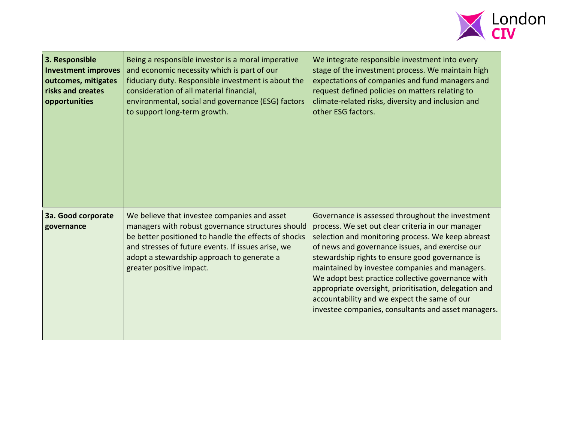

| 3. Responsible<br><b>Investment improves</b><br>outcomes, mitigates<br>risks and creates<br>opportunities | Being a responsible investor is a moral imperative<br>and economic necessity which is part of our<br>fiduciary duty. Responsible investment is about the<br>consideration of all material financial,<br>environmental, social and governance (ESG) factors<br>to support long-term growth. | We integrate responsible investment into every<br>stage of the investment process. We maintain high<br>expectations of companies and fund managers and<br>request defined policies on matters relating to<br>climate-related risks, diversity and inclusion and<br>other ESG factors.                                                                                                                                                                                                                                                   |
|-----------------------------------------------------------------------------------------------------------|--------------------------------------------------------------------------------------------------------------------------------------------------------------------------------------------------------------------------------------------------------------------------------------------|-----------------------------------------------------------------------------------------------------------------------------------------------------------------------------------------------------------------------------------------------------------------------------------------------------------------------------------------------------------------------------------------------------------------------------------------------------------------------------------------------------------------------------------------|
| 3a. Good corporate<br>governance                                                                          | We believe that investee companies and asset<br>managers with robust governance structures should<br>be better positioned to handle the effects of shocks<br>and stresses of future events. If issues arise, we<br>adopt a stewardship approach to generate a<br>greater positive impact.  | Governance is assessed throughout the investment<br>process. We set out clear criteria in our manager<br>selection and monitoring process. We keep abreast<br>of news and governance issues, and exercise our<br>stewardship rights to ensure good governance is<br>maintained by investee companies and managers.<br>We adopt best practice collective governance with<br>appropriate oversight, prioritisation, delegation and<br>accountability and we expect the same of our<br>investee companies, consultants and asset managers. |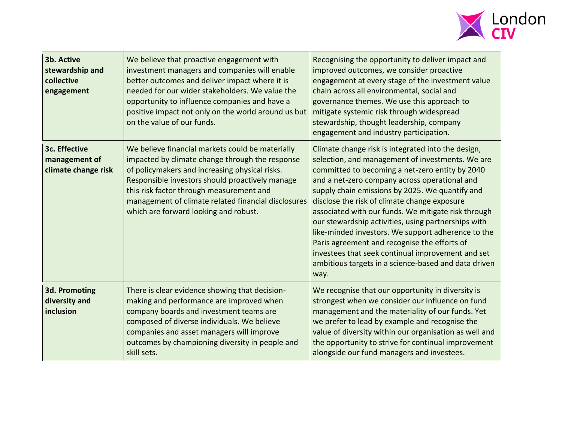

| 3b. Active<br>stewardship and<br>collective<br>engagement | We believe that proactive engagement with<br>investment managers and companies will enable<br>better outcomes and deliver impact where it is<br>needed for our wider stakeholders. We value the<br>opportunity to influence companies and have a<br>positive impact not only on the world around us but<br>on the value of our funds.                | Recognising the opportunity to deliver impact and<br>improved outcomes, we consider proactive<br>engagement at every stage of the investment value<br>chain across all environmental, social and<br>governance themes. We use this approach to<br>mitigate systemic risk through widespread<br>stewardship, thought leadership, company<br>engagement and industry participation.                                                                                                                                                                                                                                                                      |
|-----------------------------------------------------------|------------------------------------------------------------------------------------------------------------------------------------------------------------------------------------------------------------------------------------------------------------------------------------------------------------------------------------------------------|--------------------------------------------------------------------------------------------------------------------------------------------------------------------------------------------------------------------------------------------------------------------------------------------------------------------------------------------------------------------------------------------------------------------------------------------------------------------------------------------------------------------------------------------------------------------------------------------------------------------------------------------------------|
| 3c. Effective<br>management of<br>climate change risk     | We believe financial markets could be materially<br>impacted by climate change through the response<br>of policymakers and increasing physical risks.<br>Responsible investors should proactively manage<br>this risk factor through measurement and<br>management of climate related financial disclosures<br>which are forward looking and robust. | Climate change risk is integrated into the design,<br>selection, and management of investments. We are<br>committed to becoming a net-zero entity by 2040<br>and a net-zero company across operational and<br>supply chain emissions by 2025. We quantify and<br>disclose the risk of climate change exposure<br>associated with our funds. We mitigate risk through<br>our stewardship activities, using partnerships with<br>like-minded investors. We support adherence to the<br>Paris agreement and recognise the efforts of<br>investees that seek continual improvement and set<br>ambitious targets in a science-based and data driven<br>way. |
| 3d. Promoting<br>diversity and<br>inclusion               | There is clear evidence showing that decision-<br>making and performance are improved when<br>company boards and investment teams are<br>composed of diverse individuals. We believe<br>companies and asset managers will improve<br>outcomes by championing diversity in people and<br>skill sets.                                                  | We recognise that our opportunity in diversity is<br>strongest when we consider our influence on fund<br>management and the materiality of our funds. Yet<br>we prefer to lead by example and recognise the<br>value of diversity within our organisation as well and<br>the opportunity to strive for continual improvement<br>alongside our fund managers and investees.                                                                                                                                                                                                                                                                             |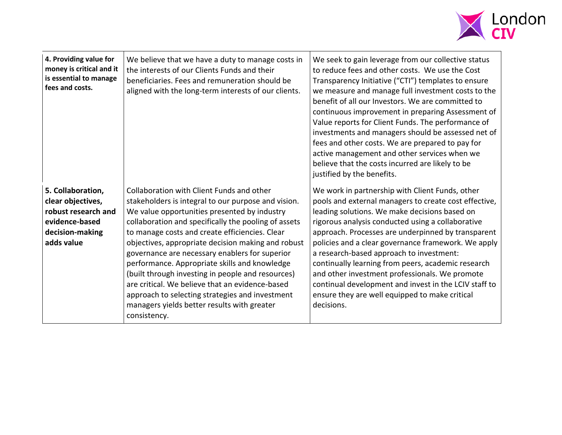

| 4. Providing value for<br>money is critical and it<br>is essential to manage<br>fees and costs.                  | We believe that we have a duty to manage costs in<br>the interests of our Clients Funds and their<br>beneficiaries. Fees and remuneration should be<br>aligned with the long-term interests of our clients.                                                                                                                                                                                                                                                                                                                                                                                                                                   | We seek to gain leverage from our collective status<br>to reduce fees and other costs. We use the Cost<br>Transparency Initiative ("CTI") templates to ensure<br>we measure and manage full investment costs to the<br>benefit of all our Investors. We are committed to<br>continuous improvement in preparing Assessment of<br>Value reports for Client Funds. The performance of<br>investments and managers should be assessed net of<br>fees and other costs. We are prepared to pay for<br>active management and other services when we<br>believe that the costs incurred are likely to be<br>justified by the benefits. |
|------------------------------------------------------------------------------------------------------------------|-----------------------------------------------------------------------------------------------------------------------------------------------------------------------------------------------------------------------------------------------------------------------------------------------------------------------------------------------------------------------------------------------------------------------------------------------------------------------------------------------------------------------------------------------------------------------------------------------------------------------------------------------|---------------------------------------------------------------------------------------------------------------------------------------------------------------------------------------------------------------------------------------------------------------------------------------------------------------------------------------------------------------------------------------------------------------------------------------------------------------------------------------------------------------------------------------------------------------------------------------------------------------------------------|
| 5. Collaboration,<br>clear objectives,<br>robust research and<br>evidence-based<br>decision-making<br>adds value | Collaboration with Client Funds and other<br>stakeholders is integral to our purpose and vision.<br>We value opportunities presented by industry<br>collaboration and specifically the pooling of assets<br>to manage costs and create efficiencies. Clear<br>objectives, appropriate decision making and robust<br>governance are necessary enablers for superior<br>performance. Appropriate skills and knowledge<br>(built through investing in people and resources)<br>are critical. We believe that an evidence-based<br>approach to selecting strategies and investment<br>managers yields better results with greater<br>consistency. | We work in partnership with Client Funds, other<br>pools and external managers to create cost effective,<br>leading solutions. We make decisions based on<br>rigorous analysis conducted using a collaborative<br>approach. Processes are underpinned by transparent<br>policies and a clear governance framework. We apply<br>a research-based approach to investment:<br>continually learning from peers, academic research<br>and other investment professionals. We promote<br>continual development and invest in the LCIV staff to<br>ensure they are well equipped to make critical<br>decisions.                        |